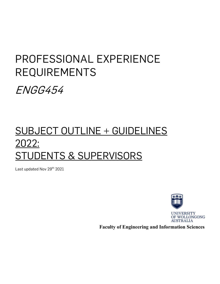# PROFESSIONAL EXPERIENCE REQUIREMENTS

ENGG454

# SUBJECT OUTLINE + GUIDELINES 2022: <u>TUDENTS & SUPERVISORS</u>

Last updated Nov 29<sup>th</sup> 2021



 **Faculty of Engineering and Information Sciences**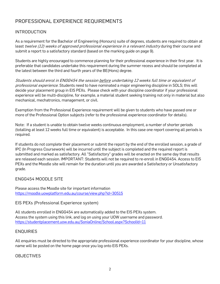# PROFESSIONAL EXPERIENCE REQUIREMENTS

#### **INTRODUCTION**

As a requirement for the Bachelor of Engineering (Honours) suite of degrees, students are required to obtain at least twelve (12) weeks of approved professional experience in a relevant industry during their course and submit a report to a satisfactory standard (based on the marking guide on page 9).

Students are highly encouraged to commence planning for their professional experience in their first year. It is preferable that candidates undertake this requirement during the summer recess and should be completed at the latest between the third and fourth years of the BE(Hons) degree.

Students should enrol in ENGG454 the session before undertaking 12 weeks full time or equivalent of professional experience. Students need to have nominated a major engineering discipline in SOLS; this will decide your placement group in EIS PEXs. Please check with your discipline coordinator if your professional experience will be multi-discipline, for example, a material student seeking training not only in material but also mechanical, mechatronics, management, or civil.

Exemption from the Professional Experience requirement will be given to students who have passed one or more of the Professional Option subjects (refer to the professional experience coordinator for details).

Note: If a student is unable to obtain twelve weeks continuous employment, a number of shorter periods (totalling at least 12 weeks full time or equivalent) is acceptable. In this case one report covering all periods is required.

If students do not complete their placement or submit the report by the end of the enrolled session, a grade of IPC (In Progress Coursework) will be incurred until the subject is completed and the required report is submitted and marked as satisfactory. All "Satisfactory" grades will be enacted on the same day that results are released each session. IMPORTANT: Students will not be required to re-enroll in ENGG454. Access to EIS PEXs and the Moodle site will remain for the duration until you are awarded a Satisfactory or Unsatisfactory grade.

#### ENGG454 MOODLE SITE

Please access the Moodle site for important information <https://moodle.uowplatform.edu.au/course/view.php?id=30515>

#### EIS PEXs (Professional Experience system)

All students enrolled in ENGG454 are automatically added to the EIS PEXs system. Access the system using this link, and log on using your UOW username and password. <https://studentplacement.uow.edu.au/SoniaOnline/School.aspx?SchoolId=11>

#### **ENOUIRIES**

All enquiries must be directed to the appropriate professional experience coordinator for your discipline, whose name will be posted on the home page once you log onto EIS PEXs.

#### OBJECTIVES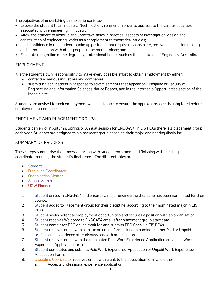The objectives of undertaking this experience is to:-

- Expose the student to an industrial/technical environment in order to appreciate the various activities associated with engineering in industry;
- Allow the student to observe and undertake tasks in practical aspects of investigation, design and construction of engineering works as a complement to theoretical studies;
- Instil confidence in the student to take up positions that require responsibility, motivation, decision making and communication with other people in the market place; and
- Facilitate recognition of the degree by professional bodies such as the Institution of Engineers, Australia.

#### EMPLOYMENT

It is the student's own responsibility to make every possible effort to obtain employment by either:

- contacting various industries and companies
- submitting applications in response to advertisements that appear on Discipline or Faculty of Engineering and Information Sciences Notice Boards, and in the Internship Opportunities section of the Moodle site.

Students are advised to seek employment well in advance to ensure the approval process is completed before employment commences.

#### ENROLMENT AND PLACEMENT GROUPS

Students can enrol in Autumn, Spring, or Annual session for ENGG454. In EIS PEXs there is 1 placement group each year. Students are assigned to a placement group based on their major engineering discipline.

#### SUMMARY OF PROCESS

These steps summarise the process, starting with student enrolment and finishing with the discipline coordinator marking the student's final report. The different roles are:

- Student
- Discipline Coordinator
- Organisation Mentor
- School Admin
- UOW Finance
- 1. Student enrols in ENGG454 and ensures a major engineering discipline has been nominated for their course.
- 2. Student added to Placement group for their discipline, according to their nominated major in EIS PEXs.
- 3. Student seeks potential employment opportunities and secures a position with an organisation.
- 4. Student receives Welcome to ENGG454 email after placement group start date.
- 5. Student completes EEO online modules and submits EEO Check in EIS PEXs.
- 6. Student receives email with a link to an online form asking to nominate either Paid or Unpaid professional experience after discussions with organisation.
- 7. Student receives email with the nominated Paid Work Experience Application or Unpaid Work Experience Application form.
- 8. Student completes and submits Paid Work Experience Application or Unpaid Work Experience Application Form.
- 9. Discipline Coordinator receives email with a link to the application form and either:
	- a. Accepts professional experience application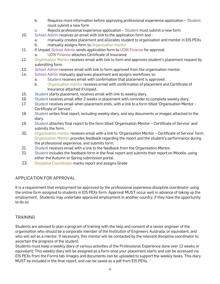- b. Requires more information before approving professional experience application Student must submit a new form
- c. Rejects professional experience application Student must submit a new form
- 10. School Admin receives an email with link to the application form and :
	- a. manually creates placement and allocates student to organisation and mentor in EIS PEXs
	- b. manually assigns form to Organisation mentor
- 11. If Unpaid, School Admin sends application form to UOW Finance for approval
	- a. UOW Finance attaches Certificate of Insurance
- 12. Organisation Mentor receives email with link to form and approves student's placement request by submitting form.
- 13. School Admin receives email with link to form approved from the organisation mentor.
- 14. School Admin manually approves placement and assigns workflows so
	- a. Student receives email with confirmation that placement is approved
	- b. Organisation mentor receives email with confirmation of placement and Certificate of Insurance attached if Unpaid.
- 15. Student starts placement, receives email with link to weekly diary.
- 16. Student receives email after 2 weeks in placement with reminder to complete weekly diary.
- 17. Student receives email when placement ends, with a link to a form titled 'Organisation Mentor Certificate of Service'.
- 18. Student writes final report, including weekly diary, and any documents or images attached to the diary.
- 19. Student attaches final report to the form titled 'Organisation Mentor Certificate of Service' and submits the form.
- 20. Organisation mentor receives email with a link to 'Organisation Mentor Certificate of Service' form. Organisation Mentor provides feedback regarding the report and the student's performance during the professional experience, and submits form.
- 21. Student receives email with a link to the feedback from the Organisation Mentor.
- 22. Student includes the feedback form in the final report and submits their report on Moodle, using either the Autumn or Spring submission portal.
- 23. Discipline Coordinator marks report and assigns Grade

### APPLICATION FOR APPROVAL

It is a requirement that employment be approved by the professional experience discipline coordinator using the online form assigned to students in EIS PEXs form. Approval MUST occur well in advance of taking up the employment. Students may undertake approved employment in another country, if they have the opportunity to do so.

### TRAINING

Students are advised to plan a program of training with the help and consent of a senior engineer of the organisation who should be a corporate member of the Institution of Engineers Australia, or equivalent, and who will act as a mentor. If necessary, this mentor will be contacted by the relevant discipline coordinator to ascertain the progress of the student.

Students must keep a weekly diary of various activities of the Professional Experience done over 12 weeks or equivalent. This weekly diary will be assigned as a form once your placement starts and can be accessed via EIS PEXs from the Forms tab. Images and documents can be uploaded to support the weekly tasks. This diary MUST be included in the final report, and can be saved as a pdf from EIS PEXs.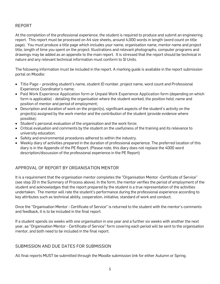#### REPORT

At the completion of the professional experience, the student is required to produce and submit an engineering report. This report must be processed on A4 size sheets, around 4,000 words in length (word count on title page). You must produce a title page which includes your name, organisation name, mentor name and project title, length of time you spent on the project. Illustrations and relevant photographs, computer programs and drawings may be added as an appendix to the main report. It is stressed that the report should be technical in nature and any relevant technical information must conform to SI Units.

The following information must be included in the report. A marking guide is available in the report submission portal on Moodle:

- Title Page providing student's name, student ID number, project name, word count and Professional Experience Coordinator's name;
- Paid Work Experience Application form or Unpaid Work Experience Application form (depending on which form is applicable) - detailing the organisation where the student worked, the position held, name and position of mentor and period of employment;
- Description and duration of work on the project(s), significant aspects of the student's activity on the project(s) assigned by the work mentor and the contribution of the student (provide evidence where possible);
- Student's personal evaluation of the organisation and the work force;
- Critical evaluation and comments by the student on the usefulness of the training and its relevance to university education;
- Safety and environmental procedures adhered to within the industry.
- Weekly diary of activities prepared in the duration of professional experience. The preferred location of this diary is in the Appendix of the PE Report. (Please note, this diary does not replace the 4000 word description/discussion of the professional experience in the PE Report)

### APPROVAL OF REPORT BY ORGANISATION MENTOR

It is a requirement that the organisation mentor completes the "Organisation Mentor -Certificate of Service" (see step 20 in the Summary of Process above). In the form, the mentor verifies the period of employment of the student and acknowledges that the report prepared by the student is a true representation of the activities undertaken. The mentor will rate the student's performance during the professional experience according to key attributes such as technical ability, cooperation, initiative, standard of work and conduct.

Once the "Organisation Mentor - Certificate of Service" is returned to the student with the mentor's comments and feedback, it is to be included in the final report.

If a student spends six weeks with one organisation in one year and a further six weeks with another the next year, aa "Organisation Mentor - Certificate of Service" form covering each period will be sent to the organisation mentor, and both need to be included in the final report.

#### SUBMISSION AND DUE DATES FOR SUBMISSION

All final reports MUST be submitted through the Moodle submission link for either Autumn or Spring.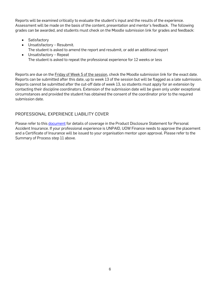Reports will be examined critically to evaluate the student's input and the results of the experience. Assessment will be made on the basis of the content, presentation and mentor's feedback. The following grades can be awarded, and students must check on the Moodle submission link for grades and feedback:

- Satisfactory
- Unsatisfactory Resubmit. The student is asked to amend the report and resubmit, or add an additional report
- Unsatisfactory Repeat The student is asked to repeat the professional experience for 12 weeks or less

Reports are due on the Friday of Week 5 of the session, check the Moodle submission link for the exact date. Reports can be submitted after this date, up to week 13 of the session but will be flagged as a late submission. Reports cannot be submitted after the cut-off date of week 13, so students must apply for an extension by contacting their discipline coordinators. Extension of the submission date will be given only under exceptional circumstances and provided the student has obtained the consent of the coordinator prior to the required submission date.

### PROFESSIONAL EXPERIENCE LIABILITY COVER

Please refer to thi[s document](https://documents.uow.edu.au/content/groups/public/@web/@fin/documents/doc/uow055111.pdf) for details of coverage in the Product Disclosure Statement for Personal Accident Insurance. If your professional experience is UNPAID, UOW Finance needs to approve the placement and a Certificate of Insurance will be issued to your organisation mentor upon approval. Please refer to the Summary of Process step 11 above.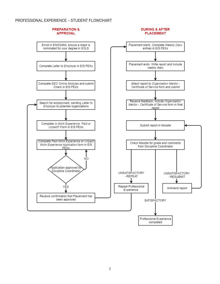#### PROFESSIONAL EXPERIENCE – STUDENT FLOWCHART

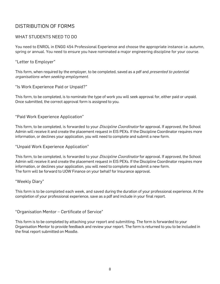## DISTRIBUTION OF FORMS

#### WHAT STUDENTS NEED TO DO

You need to ENROL in ENGG 454 Professional Experience and choose the appropriate instance i.e. autumn, spring or annual. You need to ensure you have nominated a major engineering discipline for your course.

"Letter to Employer"

This form, when required by the employer, to be completed, saved as a pdf and *presented to potential* organisations when seeking employment.

"Is Work Experience Paid or Unpaid?"

This form, to be completed, is to nominate the type of work you will seek approval for, either paid or unpaid. Once submitted, the correct approval form is assigned to you.

"Paid Work Experience Application"

This form, to be completed, is forwarded to your *Discipline Coordinator* for approval. If approved, the School Admin will receive it and create the placement request in EIS PEXs. If the Discipline Coordinator requires more information, or declines your application, you will need to complete and submit a new form.

"Unpaid Work Experience Application"

This form, to be completed, is forwarded to your *Discipline Coordinator* for approval. If approved, the School Admin will receive it and create the placement request in EIS PEXs. If the Discipline Coordinator requires more information, or declines your application, you will need to complete and submit a new form. The form will be forward to UOW Finance on your behalf for Insurance approval.

"Weekly Diary"

This form is to be completed each week, and saved during the duration of your professional experience. At the completion of your professional experience, save as a pdf and include in your final report.

"Organisation Mentor – Certificate of Service"

This form is to be completed by attaching your report and submitting. The form is forwarded to your Organisation Mentor to provide feedback and review your report. The form is returned to you to be included in the final report submitted on Moodle.